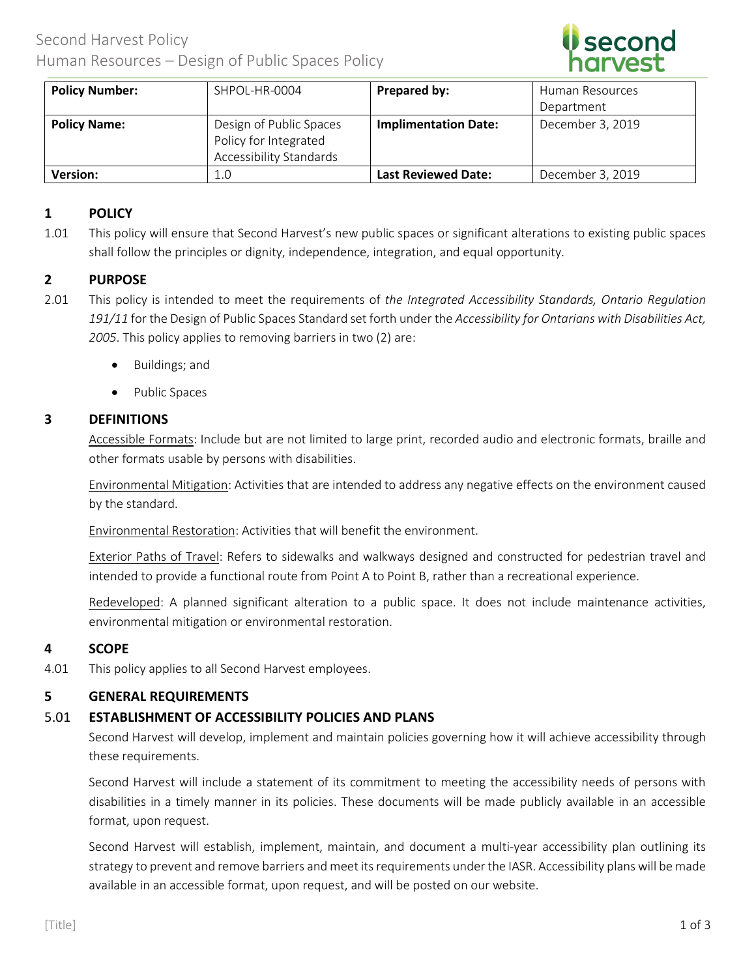

| <b>Policy Number:</b> | SHPOL-HR-0004                                                                      | Prepared by:                | Human Resources  |
|-----------------------|------------------------------------------------------------------------------------|-----------------------------|------------------|
|                       |                                                                                    |                             | Department       |
| <b>Policy Name:</b>   | Design of Public Spaces<br>Policy for Integrated<br><b>Accessibility Standards</b> | <b>Implimentation Date:</b> | December 3, 2019 |
| <b>Version:</b>       | 1.0                                                                                | <b>Last Reviewed Date:</b>  | December 3, 2019 |

# **1 POLICY**

1.01 This policy will ensure that Second Harvest's new public spaces or significant alterations to existing public spaces shall follow the principles or dignity, independence, integration, and equal opportunity.

## **2 PURPOSE**

- 2.01 This policy is intended to meet the requirements of *the Integrated Accessibility Standards, Ontario Regulation 191/11* for the Design of Public Spaces Standard set forth under the *Accessibility for Ontarians with Disabilities Act, 2005*. This policy applies to removing barriers in two (2) are:
	- Buildings; and
	- Public Spaces

#### **3 DEFINITIONS**

Accessible Formats: Include but are not limited to large print, recorded audio and electronic formats, braille and other formats usable by persons with disabilities.

Environmental Mitigation: Activities that are intended to address any negative effects on the environment caused by the standard.

Environmental Restoration: Activities that will benefit the environment.

Exterior Paths of Travel: Refers to sidewalks and walkways designed and constructed for pedestrian travel and intended to provide a functional route from Point A to Point B, rather than a recreational experience.

Redeveloped: A planned significant alteration to a public space. It does not include maintenance activities, environmental mitigation or environmental restoration.

## **4 SCOPE**

4.01 This policy applies to all Second Harvest employees.

## **5 GENERAL REQUIREMENTS**

## 5.01 **ESTABLISHMENT OF ACCESSIBILITY POLICIES AND PLANS**

Second Harvest will develop, implement and maintain policies governing how it will achieve accessibility through these requirements.

Second Harvest will include a statement of its commitment to meeting the accessibility needs of persons with disabilities in a timely manner in its policies. These documents will be made publicly available in an accessible format, upon request.

Second Harvest will establish, implement, maintain, and document a multi-year accessibility plan outlining its strategy to prevent and remove barriers and meet its requirements under the IASR. Accessibility plans will be made available in an accessible format, upon request, and will be posted on our website.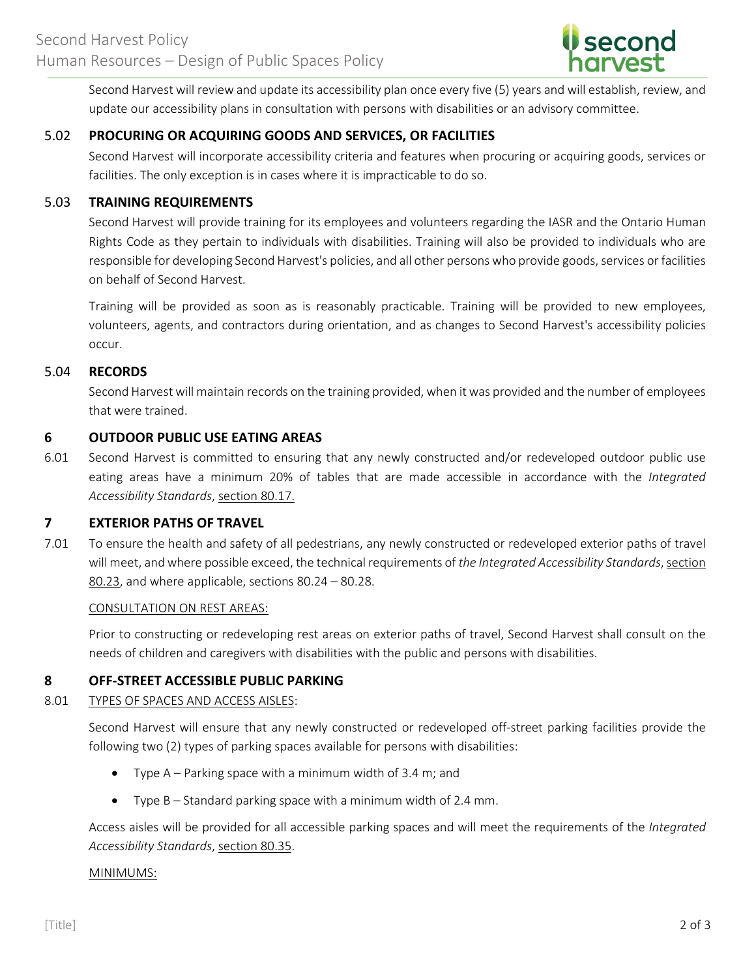

Second Harvest will review and update its accessibility plan once every five (5) years and will establish, review, and update our accessibility plans in consultation with persons with disabilities or an advisory committee.

# 5.02 **PROCURING OR ACQUIRING GOODS AND SERVICES, OR FACILITIES**

Second Harvest will incorporate accessibility criteria and features when procuring or acquiring goods, services or facilities. The only exception is in cases where it is impracticable to do so.

## 5.03 **TRAINING REQUIREMENTS**

Second Harvest will provide training for its employees and volunteers regarding the IASR and the Ontario Human Rights Code as they pertain to individuals with disabilities. Training will also be provided to individuals who are responsible for developing Second Harvest's policies, and all other persons who provide goods, services or facilities on behalf of Second Harvest.

Training will be provided as soon as is reasonably practicable. Training will be provided to new employees, volunteers, agents, and contractors during orientation, and as changes to Second Harvest's accessibility policies occur.

## 5.04 **RECORDS**

Second Harvest will maintain records on the training provided, when it was provided and the number of employees that were trained.

## **6 OUTDOOR PUBLIC USE EATING AREAS**

6.01 Second Harvest is committed to ensuring that any newly constructed and/or redeveloped outdoor public use eating areas have a minimum 20% of tables that are made accessible in accordance with the *Integrated Accessibility Standards*, section 80.17.

# **7 EXTERIOR PATHS OF TRAVEL**

7.01 To ensure the health and safety of all pedestrians, any newly constructed or redeveloped exterior paths of travel will meet, and where possible exceed, the technical requirements of *the Integrated Accessibility Standards*, section 80.23, and where applicable, sections 80.24 – 80.28.

#### CONSULTATION ON REST AREAS:

Prior to constructing or redeveloping rest areas on exterior paths of travel, Second Harvest shall consult on the needs of children and caregivers with disabilities with the public and persons with disabilities.

## **8 OFF-STREET ACCESSIBLE PUBLIC PARKING**

# 8.01 TYPES OF SPACES AND ACCESS AISLES:

Second Harvest will ensure that any newly constructed or redeveloped off-street parking facilities provide the following two (2) types of parking spaces available for persons with disabilities:

- Type A Parking space with a minimum width of 3.4 m; and
- Type B Standard parking space with a minimum width of 2.4 mm.

Access aisles will be provided for all accessible parking spaces and will meet the requirements of the *Integrated Accessibility Standards*, section 80.35.

#### MINIMUMS: